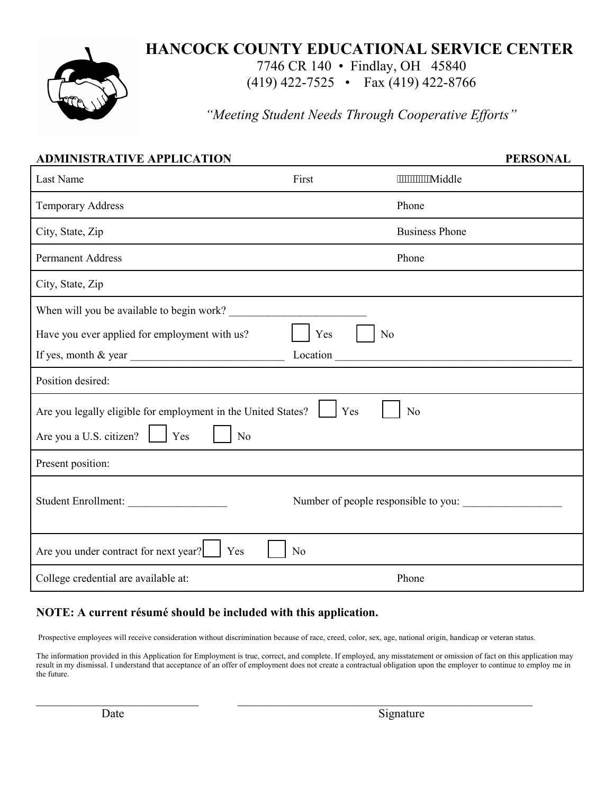

# **HANCOCK COUNTY EDUCATIONAL SERVICE CENTER**

7746 CR 140 • Findlay, OH 45840

(419) 422-7525 • Fax (419) 422-8766

*"Meeting Student Needs Through Cooperative Efforts"*

| <b>ADMINISTRATIVE APPLICATION</b>                                                          |                |                                      | <b>PERSONAL</b> |  |  |  |
|--------------------------------------------------------------------------------------------|----------------|--------------------------------------|-----------------|--|--|--|
| Last Name                                                                                  | First          | """"""""""Middle                     |                 |  |  |  |
| <b>Temporary Address</b>                                                                   |                | Phone                                |                 |  |  |  |
| City, State, Zip                                                                           |                | <b>Business Phone</b>                |                 |  |  |  |
| <b>Permanent Address</b>                                                                   |                | Phone                                |                 |  |  |  |
| City, State, Zip                                                                           |                |                                      |                 |  |  |  |
| When will you be available to begin work?                                                  |                |                                      |                 |  |  |  |
| Have you ever applied for employment with us?                                              | Yes            | N <sub>o</sub>                       |                 |  |  |  |
| If yes, month $\&$ year $\_\_\_\_\_\_\_\_\_\_\_\_\_\_\_\_\_\_\_\_\_\_\_\_\_\_\_\_\_\_\_\_$ | Location       |                                      |                 |  |  |  |
| Position desired:                                                                          |                |                                      |                 |  |  |  |
| Are you legally eligible for employment in the United States?<br>Yes<br>N <sub>o</sub>     |                |                                      |                 |  |  |  |
| Are you a U.S. citizen?<br>Yes<br>N <sub>o</sub>                                           |                |                                      |                 |  |  |  |
| Present position:                                                                          |                |                                      |                 |  |  |  |
| Student Enrollment:                                                                        |                | Number of people responsible to you: |                 |  |  |  |
| Are you under contract for next year?<br>Yes                                               | N <sub>o</sub> |                                      |                 |  |  |  |
| College credential are available at:                                                       |                | Phone                                |                 |  |  |  |

### **NOTE: A current résumé should be included with this application.**

Prospective employees will receive consideration without discrimination because of race, creed, color, sex, age, national origin, handicap or veteran status.

 $\_$  , and the contribution of the contribution of  $\mathcal{L}_\mathcal{A}$  , and the contribution of  $\mathcal{L}_\mathcal{A}$ 

The information provided in this Application for Employment is true, correct, and complete. If employed, any misstatement or omission of fact on this application may result in my dismissal. I understand that acceptance of an offer of employment does not create a contractual obligation upon the employer to continue to employ me in the future.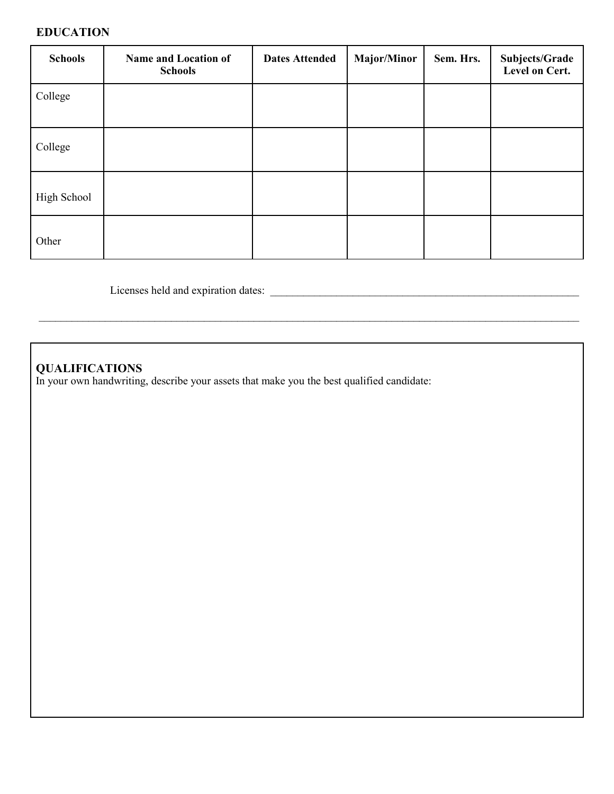#### **EDUCATION**

| <b>Schools</b> | <b>Name and Location of</b><br><b>Schools</b> | <b>Dates Attended</b> | <b>Major/Minor</b> | Sem. Hrs. | Subjects/Grade<br>Level on Cert. |
|----------------|-----------------------------------------------|-----------------------|--------------------|-----------|----------------------------------|
| College        |                                               |                       |                    |           |                                  |
| College        |                                               |                       |                    |           |                                  |
| High School    |                                               |                       |                    |           |                                  |
| Other          |                                               |                       |                    |           |                                  |

 $\mathcal{L}_\mathcal{L} = \mathcal{L}_\mathcal{L} = \mathcal{L}_\mathcal{L} = \mathcal{L}_\mathcal{L} = \mathcal{L}_\mathcal{L} = \mathcal{L}_\mathcal{L} = \mathcal{L}_\mathcal{L} = \mathcal{L}_\mathcal{L} = \mathcal{L}_\mathcal{L} = \mathcal{L}_\mathcal{L} = \mathcal{L}_\mathcal{L} = \mathcal{L}_\mathcal{L} = \mathcal{L}_\mathcal{L} = \mathcal{L}_\mathcal{L} = \mathcal{L}_\mathcal{L} = \mathcal{L}_\mathcal{L} = \mathcal{L}_\mathcal{L}$ 

Licenses held and expiration dates: \_\_\_\_\_\_\_\_\_\_\_\_\_\_\_\_\_\_\_\_\_\_\_\_\_\_\_\_\_\_\_\_\_\_\_\_\_\_\_\_\_\_\_\_\_\_\_\_\_\_\_\_\_\_\_\_

### **QUALIFICATIONS**

In your own handwriting, describe your assets that make you the best qualified candidate: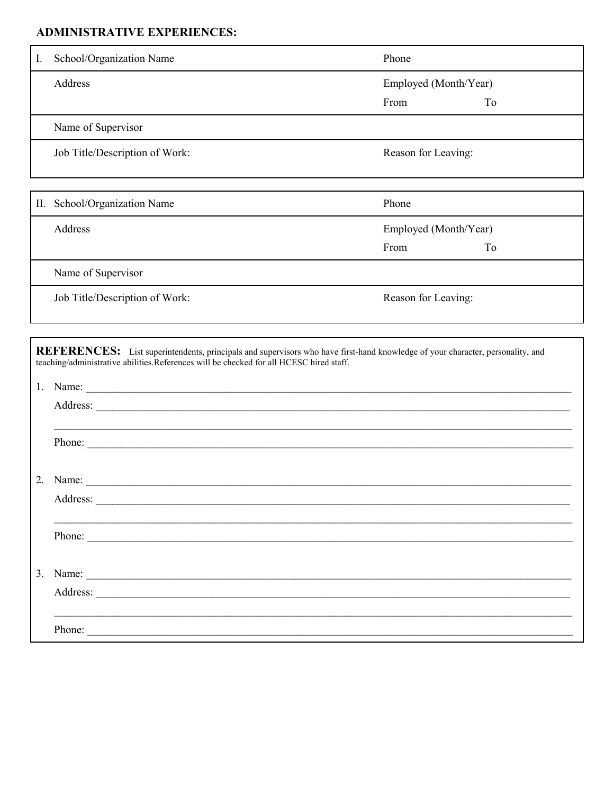## **ADMINISTRATIVE EXPERIENCES:**

| $\mathbf{I}$ . | School/Organization Name                                                                               | Phone                         |    |  |
|----------------|--------------------------------------------------------------------------------------------------------|-------------------------------|----|--|
|                | Address                                                                                                | Employed (Month/Year)         |    |  |
|                |                                                                                                        | From                          | To |  |
|                | Name of Supervisor                                                                                     |                               |    |  |
|                | Job Title/Description of Work:                                                                         | Reason for Leaving:           |    |  |
| П.             | School/Organization Name                                                                               | Phone                         |    |  |
|                | Address                                                                                                | Employed (Month/Year)<br>From | To |  |
|                | Name of Supervisor                                                                                     |                               |    |  |
|                | Job Title/Description of Work:                                                                         | Reason for Leaving:           |    |  |
| 1.             | teaching/administrative abilities.References will be checked for all HCESC hired staff.                |                               |    |  |
|                |                                                                                                        |                               |    |  |
|                | Phone:                                                                                                 |                               |    |  |
|                |                                                                                                        |                               |    |  |
|                |                                                                                                        |                               |    |  |
|                | Phone:                                                                                                 |                               |    |  |
|                | 3. Name: $\frac{1}{\sqrt{1-\frac{1}{2}}\sqrt{1-\frac{1}{2}}\sqrt{1-\frac{1}{2}}\sqrt{1-\frac{1}{2}}}}$ |                               |    |  |
|                | Address:                                                                                               |                               |    |  |
|                | Phone:                                                                                                 |                               |    |  |